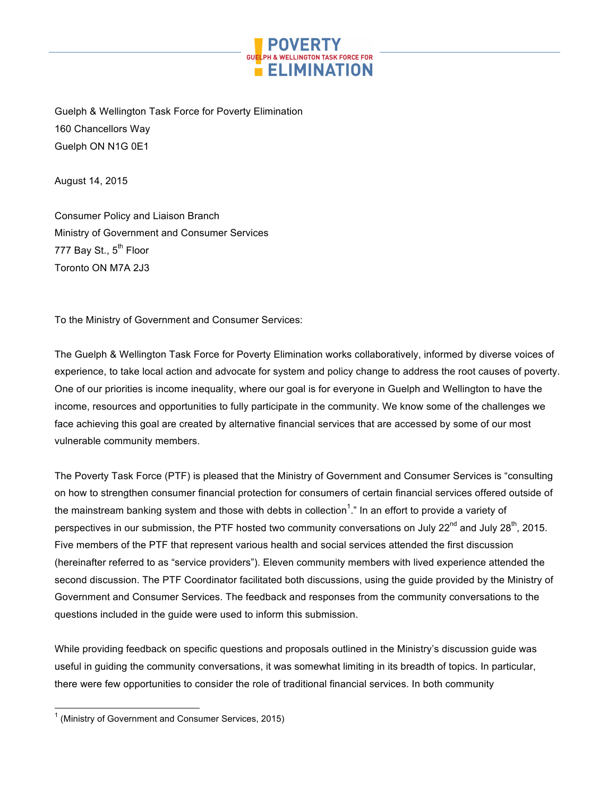

Guelph & Wellington Task Force for Poverty Elimination 160 Chancellors Way Guelph ON N1G 0E1

August 14, 2015

Consumer Policy and Liaison Branch Ministry of Government and Consumer Services 777 Bay St., 5<sup>th</sup> Floor Toronto ON M7A 2J3

To the Ministry of Government and Consumer Services:

The Guelph & Wellington Task Force for Poverty Elimination works collaboratively, informed by diverse voices of experience, to take local action and advocate for system and policy change to address the root causes of poverty. One of our priorities is income inequality, where our goal is for everyone in Guelph and Wellington to have the income, resources and opportunities to fully participate in the community. We know some of the challenges we face achieving this goal are created by alternative financial services that are accessed by some of our most vulnerable community members.

The Poverty Task Force (PTF) is pleased that the Ministry of Government and Consumer Services is "consulting on how to strengthen consumer financial protection for consumers of certain financial services offered outside of the mainstream banking system and those with debts in collection<sup>1</sup>." In an effort to provide a variety of perspectives in our submission, the PTF hosted two community conversations on July 22<sup>nd</sup> and July 28<sup>th</sup>, 2015. Five members of the PTF that represent various health and social services attended the first discussion (hereinafter referred to as "service providers"). Eleven community members with lived experience attended the second discussion. The PTF Coordinator facilitated both discussions, using the guide provided by the Ministry of Government and Consumer Services. The feedback and responses from the community conversations to the questions included in the guide were used to inform this submission.

While providing feedback on specific questions and proposals outlined in the Ministry's discussion guide was useful in guiding the community conversations, it was somewhat limiting in its breadth of topics. In particular, there were few opportunities to consider the role of traditional financial services. In both community

 $1$  (Ministry of Government and Consumer Services, 2015)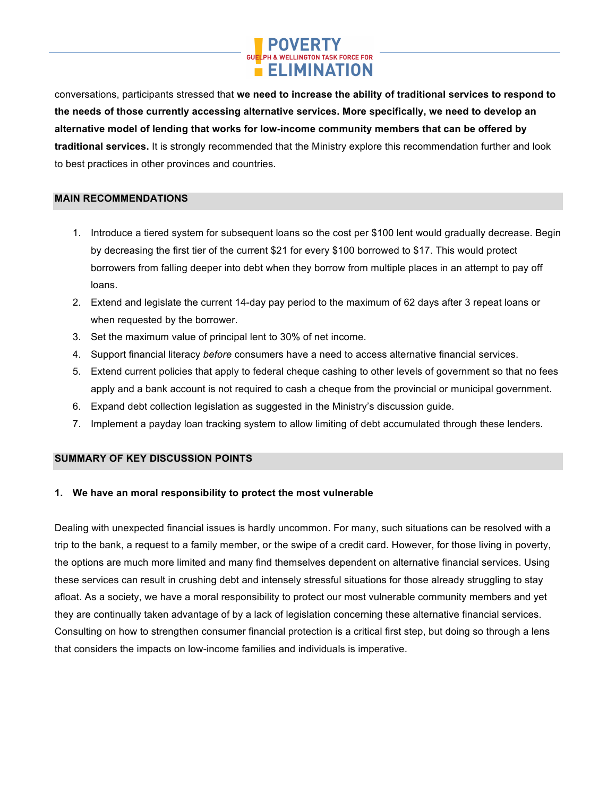

conversations, participants stressed that **we need to increase the ability of traditional services to respond to the needs of those currently accessing alternative services. More specifically, we need to develop an alternative model of lending that works for low-income community members that can be offered by traditional services.** It is strongly recommended that the Ministry explore this recommendation further and look to best practices in other provinces and countries.

## **MAIN RECOMMENDATIONS**

- 1. Introduce a tiered system for subsequent loans so the cost per \$100 lent would gradually decrease. Begin by decreasing the first tier of the current \$21 for every \$100 borrowed to \$17. This would protect borrowers from falling deeper into debt when they borrow from multiple places in an attempt to pay off loans.
- 2. Extend and legislate the current 14-day pay period to the maximum of 62 days after 3 repeat loans or when requested by the borrower.
- 3. Set the maximum value of principal lent to 30% of net income.
- 4. Support financial literacy *before* consumers have a need to access alternative financial services.
- 5. Extend current policies that apply to federal cheque cashing to other levels of government so that no fees apply and a bank account is not required to cash a cheque from the provincial or municipal government.
- 6. Expand debt collection legislation as suggested in the Ministry's discussion guide.
- 7. Implement a payday loan tracking system to allow limiting of debt accumulated through these lenders.

#### **SUMMARY OF KEY DISCUSSION POINTS**

#### **1. We have an moral responsibility to protect the most vulnerable**

Dealing with unexpected financial issues is hardly uncommon. For many, such situations can be resolved with a trip to the bank, a request to a family member, or the swipe of a credit card. However, for those living in poverty, the options are much more limited and many find themselves dependent on alternative financial services. Using these services can result in crushing debt and intensely stressful situations for those already struggling to stay afloat. As a society, we have a moral responsibility to protect our most vulnerable community members and yet they are continually taken advantage of by a lack of legislation concerning these alternative financial services. Consulting on how to strengthen consumer financial protection is a critical first step, but doing so through a lens that considers the impacts on low-income families and individuals is imperative.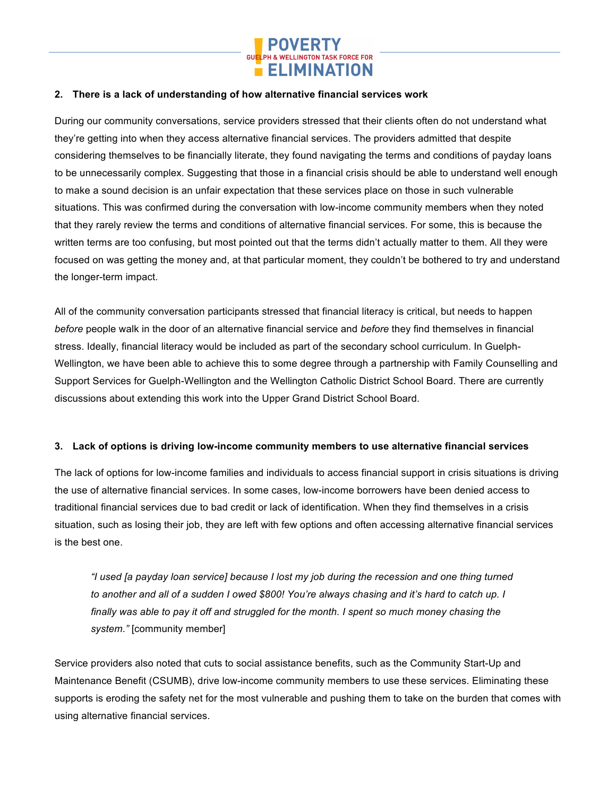

## **2. There is a lack of understanding of how alternative financial services work**

During our community conversations, service providers stressed that their clients often do not understand what they're getting into when they access alternative financial services. The providers admitted that despite considering themselves to be financially literate, they found navigating the terms and conditions of payday loans to be unnecessarily complex. Suggesting that those in a financial crisis should be able to understand well enough to make a sound decision is an unfair expectation that these services place on those in such vulnerable situations. This was confirmed during the conversation with low-income community members when they noted that they rarely review the terms and conditions of alternative financial services. For some, this is because the written terms are too confusing, but most pointed out that the terms didn't actually matter to them. All they were focused on was getting the money and, at that particular moment, they couldn't be bothered to try and understand the longer-term impact.

All of the community conversation participants stressed that financial literacy is critical, but needs to happen *before* people walk in the door of an alternative financial service and *before* they find themselves in financial stress. Ideally, financial literacy would be included as part of the secondary school curriculum. In Guelph-Wellington, we have been able to achieve this to some degree through a partnership with Family Counselling and Support Services for Guelph-Wellington and the Wellington Catholic District School Board. There are currently discussions about extending this work into the Upper Grand District School Board.

#### **3. Lack of options is driving low-income community members to use alternative financial services**

The lack of options for low-income families and individuals to access financial support in crisis situations is driving the use of alternative financial services. In some cases, low-income borrowers have been denied access to traditional financial services due to bad credit or lack of identification. When they find themselves in a crisis situation, such as losing their job, they are left with few options and often accessing alternative financial services is the best one.

*"I used [a payday loan service] because I lost my job during the recession and one thing turned to another and all of a sudden I owed \$800! You're always chasing and it's hard to catch up. I finally was able to pay it off and struggled for the month. I spent so much money chasing the system."* [community member]

Service providers also noted that cuts to social assistance benefits, such as the Community Start-Up and Maintenance Benefit (CSUMB), drive low-income community members to use these services. Eliminating these supports is eroding the safety net for the most vulnerable and pushing them to take on the burden that comes with using alternative financial services.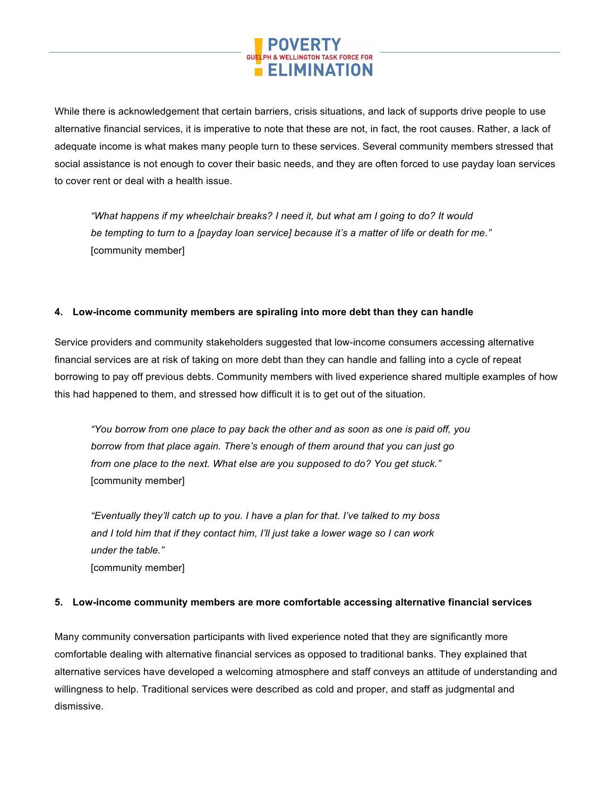

While there is acknowledgement that certain barriers, crisis situations, and lack of supports drive people to use alternative financial services, it is imperative to note that these are not, in fact, the root causes. Rather, a lack of adequate income is what makes many people turn to these services. Several community members stressed that social assistance is not enough to cover their basic needs, and they are often forced to use payday loan services to cover rent or deal with a health issue.

*"What happens if my wheelchair breaks? I need it, but what am I going to do? It would be tempting to turn to a [payday loan service] because it's a matter of life or death for me."*  [community member]

## **4. Low-income community members are spiraling into more debt than they can handle**

Service providers and community stakeholders suggested that low-income consumers accessing alternative financial services are at risk of taking on more debt than they can handle and falling into a cycle of repeat borrowing to pay off previous debts. Community members with lived experience shared multiple examples of how this had happened to them, and stressed how difficult it is to get out of the situation.

*"You borrow from one place to pay back the other and as soon as one is paid off, you borrow from that place again. There's enough of them around that you can just go from one place to the next. What else are you supposed to do? You get stuck."* [community member]

*"Eventually they'll catch up to you. I have a plan for that. I've talked to my boss and I told him that if they contact him, I'll just take a lower wage so I can work under the table."*  [community member]

#### **5. Low-income community members are more comfortable accessing alternative financial services**

Many community conversation participants with lived experience noted that they are significantly more comfortable dealing with alternative financial services as opposed to traditional banks. They explained that alternative services have developed a welcoming atmosphere and staff conveys an attitude of understanding and willingness to help. Traditional services were described as cold and proper, and staff as judgmental and dismissive.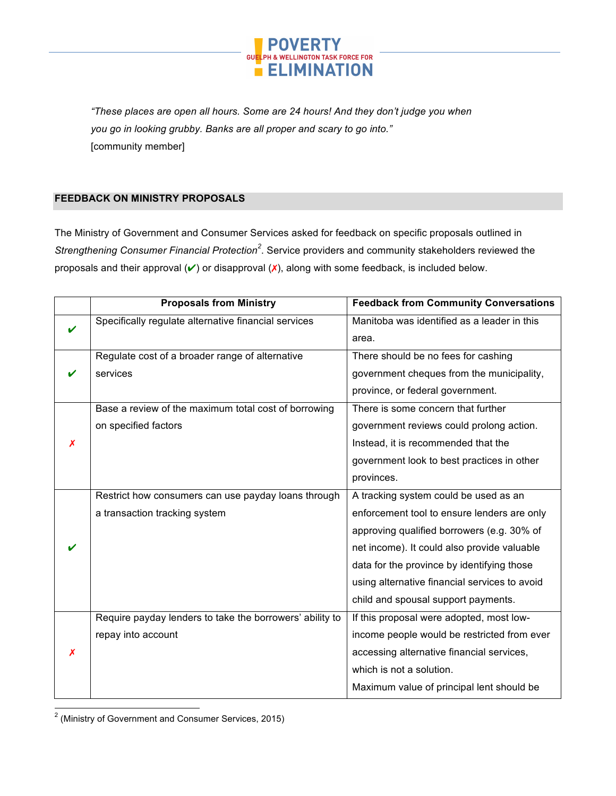

*"These places are open all hours. Some are 24 hours! And they don't judge you when you go in looking grubby. Banks are all proper and scary to go into."*  [community member]

# **FEEDBACK ON MINISTRY PROPOSALS**

The Ministry of Government and Consumer Services asked for feedback on specific proposals outlined in Strengthening Consumer Financial Protection<sup>2</sup>. Service providers and community stakeholders reviewed the proposals and their approval  $(V)$  or disapproval  $(X)$ , along with some feedback, is included below.

|   | <b>Proposals from Ministry</b>                           | <b>Feedback from Community Conversations</b>  |
|---|----------------------------------------------------------|-----------------------------------------------|
|   | Specifically regulate alternative financial services     | Manitoba was identified as a leader in this   |
|   |                                                          | area.                                         |
|   | Regulate cost of a broader range of alternative          | There should be no fees for cashing           |
|   | services                                                 | government cheques from the municipality,     |
|   |                                                          | province, or federal government.              |
|   | Base a review of the maximum total cost of borrowing     | There is some concern that further            |
|   | on specified factors                                     | government reviews could prolong action.      |
| X |                                                          | Instead, it is recommended that the           |
|   |                                                          | government look to best practices in other    |
|   |                                                          | provinces.                                    |
|   | Restrict how consumers can use payday loans through      | A tracking system could be used as an         |
|   | a transaction tracking system                            | enforcement tool to ensure lenders are only   |
|   |                                                          | approving qualified borrowers (e.g. 30% of    |
|   |                                                          | net income). It could also provide valuable   |
|   |                                                          | data for the province by identifying those    |
|   |                                                          | using alternative financial services to avoid |
|   |                                                          | child and spousal support payments.           |
|   | Require payday lenders to take the borrowers' ability to | If this proposal were adopted, most low-      |
|   | repay into account                                       | income people would be restricted from ever   |
| X |                                                          | accessing alternative financial services,     |
|   |                                                          | which is not a solution.                      |
|   |                                                          | Maximum value of principal lent should be     |

 <sup>2</sup> (Ministry of Government and Consumer Services, 2015)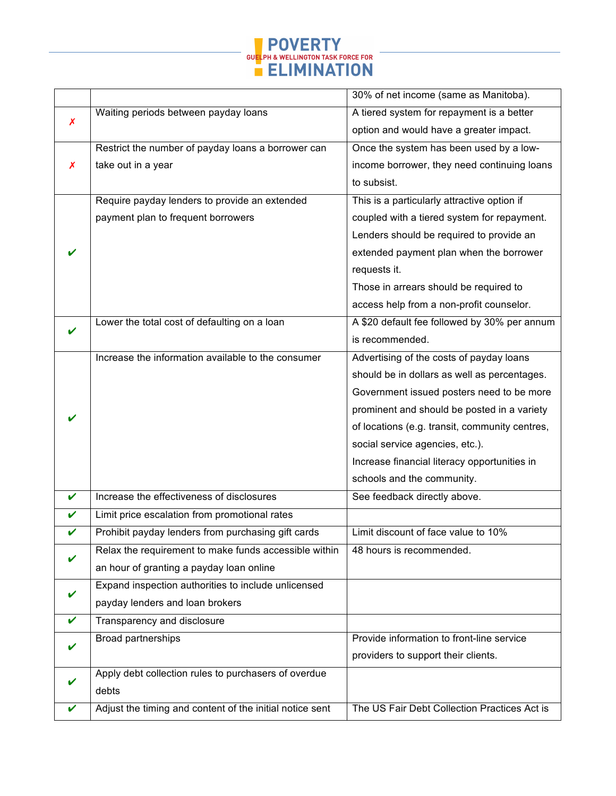

|                  |                                                          | 30% of net income (same as Manitoba).          |
|------------------|----------------------------------------------------------|------------------------------------------------|
|                  | Waiting periods between payday loans                     | A tiered system for repayment is a better      |
| $\boldsymbol{x}$ |                                                          | option and would have a greater impact.        |
|                  | Restrict the number of payday loans a borrower can       | Once the system has been used by a low-        |
| X                | take out in a year                                       | income borrower, they need continuing loans    |
|                  |                                                          | to subsist.                                    |
|                  | Require payday lenders to provide an extended            | This is a particularly attractive option if    |
|                  | payment plan to frequent borrowers                       | coupled with a tiered system for repayment.    |
|                  |                                                          | Lenders should be required to provide an       |
|                  |                                                          | extended payment plan when the borrower        |
|                  |                                                          | requests it.                                   |
|                  |                                                          | Those in arrears should be required to         |
|                  |                                                          | access help from a non-profit counselor.       |
|                  | Lower the total cost of defaulting on a loan             | A \$20 default fee followed by 30% per annum   |
|                  |                                                          | is recommended.                                |
|                  | Increase the information available to the consumer       | Advertising of the costs of payday loans       |
|                  |                                                          | should be in dollars as well as percentages.   |
|                  |                                                          | Government issued posters need to be more      |
|                  |                                                          | prominent and should be posted in a variety    |
|                  |                                                          | of locations (e.g. transit, community centres, |
|                  |                                                          | social service agencies, etc.).                |
|                  |                                                          | Increase financial literacy opportunities in   |
|                  |                                                          | schools and the community.                     |
| V                | Increase the effectiveness of disclosures                | See feedback directly above.                   |
| V                | Limit price escalation from promotional rates            |                                                |
| V                | Prohibit payday lenders from purchasing gift cards       | Limit discount of face value to 10%            |
|                  | Relax the requirement to make funds accessible within    | 48 hours is recommended.                       |
|                  | an hour of granting a payday loan online                 |                                                |
|                  | Expand inspection authorities to include unlicensed      |                                                |
|                  | payday lenders and loan brokers                          |                                                |
|                  | Transparency and disclosure                              |                                                |
|                  | Broad partnerships                                       | Provide information to front-line service      |
|                  |                                                          | providers to support their clients.            |
|                  | Apply debt collection rules to purchasers of overdue     |                                                |
|                  | debts                                                    |                                                |
|                  | Adjust the timing and content of the initial notice sent | The US Fair Debt Collection Practices Act is   |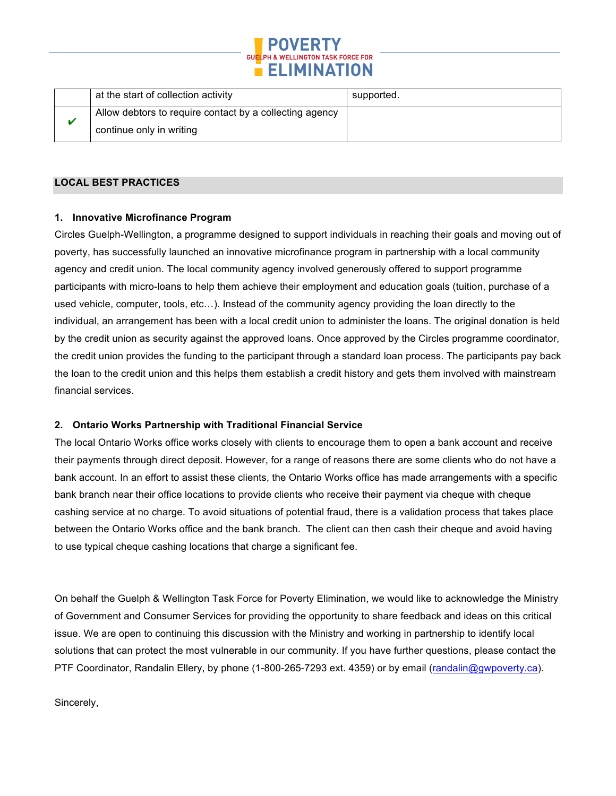

|  | at the start of collection activity                     | supported. |
|--|---------------------------------------------------------|------------|
|  | Allow debtors to require contact by a collecting agency |            |
|  | continue only in writing                                |            |

### **LOCAL BEST PRACTICES**

#### **1. Innovative Microfinance Program**

Circles Guelph-Wellington, a programme designed to support individuals in reaching their goals and moving out of poverty, has successfully launched an innovative microfinance program in partnership with a local community agency and credit union. The local community agency involved generously offered to support programme participants with micro-loans to help them achieve their employment and education goals (tuition, purchase of a used vehicle, computer, tools, etc…). Instead of the community agency providing the loan directly to the individual, an arrangement has been with a local credit union to administer the loans. The original donation is held by the credit union as security against the approved loans. Once approved by the Circles programme coordinator, the credit union provides the funding to the participant through a standard loan process. The participants pay back the loan to the credit union and this helps them establish a credit history and gets them involved with mainstream financial services.

# **2. Ontario Works Partnership with Traditional Financial Service**

The local Ontario Works office works closely with clients to encourage them to open a bank account and receive their payments through direct deposit. However, for a range of reasons there are some clients who do not have a bank account. In an effort to assist these clients, the Ontario Works office has made arrangements with a specific bank branch near their office locations to provide clients who receive their payment via cheque with cheque cashing service at no charge. To avoid situations of potential fraud, there is a validation process that takes place between the Ontario Works office and the bank branch. The client can then cash their cheque and avoid having to use typical cheque cashing locations that charge a significant fee.

On behalf the Guelph & Wellington Task Force for Poverty Elimination, we would like to acknowledge the Ministry of Government and Consumer Services for providing the opportunity to share feedback and ideas on this critical issue. We are open to continuing this discussion with the Ministry and working in partnership to identify local solutions that can protect the most vulnerable in our community. If you have further questions, please contact the PTF Coordinator, Randalin Ellery, by phone (1-800-265-7293 ext. 4359) or by email (randalin@gwpoverty.ca).

Sincerely,